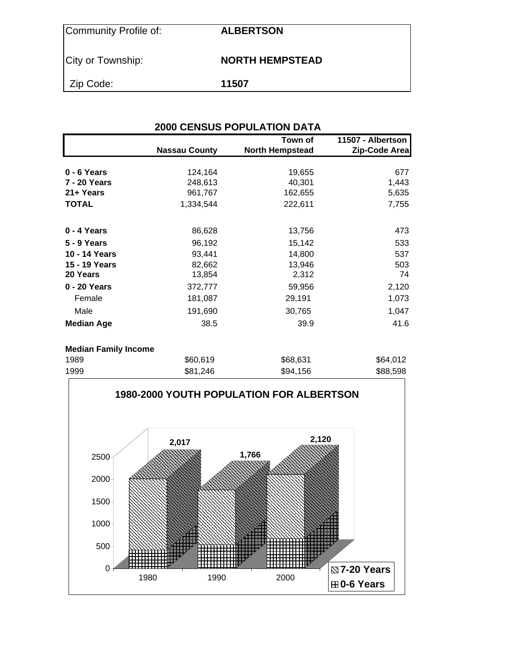| Community Profile of: | <b>ALBERTSON</b>       |
|-----------------------|------------------------|
| City or Township:     | <b>NORTH HEMPSTEAD</b> |
| Zip Code:             | 11507                  |

## **2000 CENSUS POPULATION DATA Town of 11507 - Albertson**  Nassau County **North Hempstead** Zip-Code Area **0 - 6 Years 124,164** 124,164 **19,655** 677 **7 - 20 Years** 248,613 40,301 40,301 **21+ Years 162,655** 5,635 **TOTAL** 1,334,544 222,611 7,755 **0 - 4 Years** 86,628 13,756 473 **5 - 9 Years 15,142** 533 **10 - 14 Years 11,800 11,800 11,800 537 15 - 19 Years** 82,662 13,946 503 **20 Years** 13,854 2,312 20 Years 2,4 **0 - 20 Years** 372,777 59,956 2,120 Female 181,087 29,191 1,073 Male 191,690 30,765 1,047 **Median Age 38.5** 39.9 41.6

### **Median Family Income**

| 1989 | \$60,619 | \$68,631 | \$64,012 |
|------|----------|----------|----------|
| 1999 | \$81,246 | \$94,156 | \$88,598 |

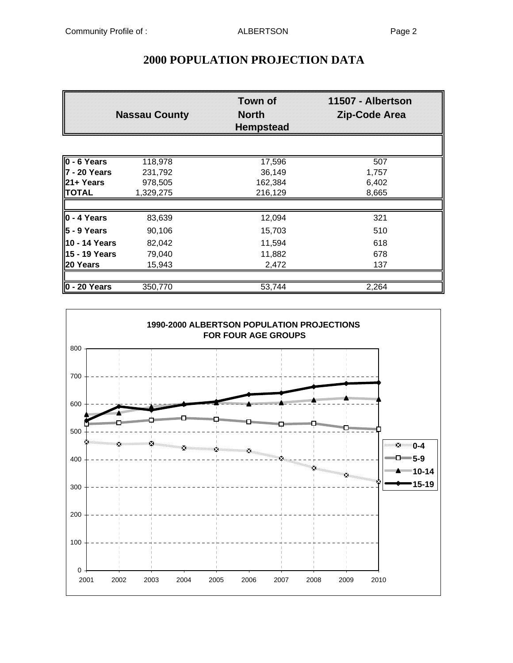|                          | <b>Nassau County</b> | <b>Town of</b><br><b>North</b><br><b>Hempstead</b> | 11507 - Albertson<br><b>Zip-Code Area</b> |
|--------------------------|----------------------|----------------------------------------------------|-------------------------------------------|
|                          |                      |                                                    |                                           |
| $\overline{0}$ - 6 Years | 118,978              | 17,596                                             | 507                                       |
| 7 - 20 Years             | 231,792              | 36,149                                             | 1,757                                     |
| $21 + Years$             | 978,505              | 162,384                                            | 6,402                                     |
| <b>TOTAL</b>             | 1,329,275            | 216,129                                            | 8,665                                     |
| <b>lo</b> - 4 Years      | 83,639               | 12,094                                             | 321                                       |
| ∥5 - 9 Years             | 90,106               | 15,703                                             | 510                                       |
| 10 - 14 Years            | 82,042               | 11,594                                             | 618                                       |
| 15 - 19 Years            | 79,040               | 11,882                                             | 678                                       |
| 20 Years                 | 15,943               | 2,472                                              | 137                                       |
|                          |                      |                                                    |                                           |
| $0 - 20$ Years           | 350,770              | 53,744                                             | 2,264                                     |

## **2000 POPULATION PROJECTION DATA**

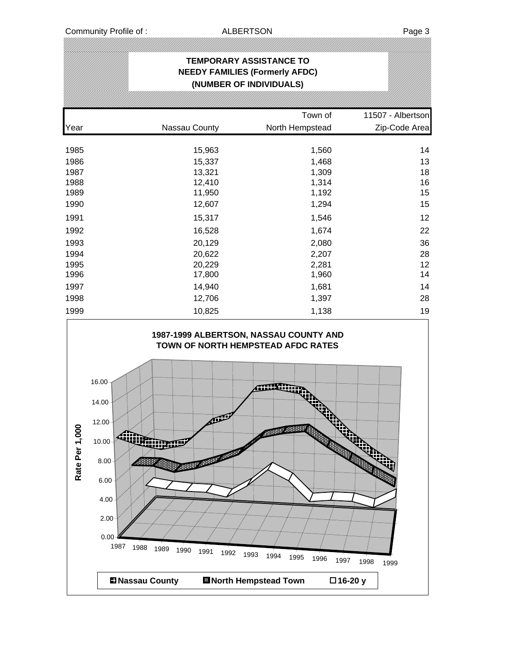# **TEMPORARY ASSISTANCE TO NEEDY FAMILIES (Formerly AFDC) (NUMBER OF INDIVIDUALS)** Town of 11507 - Albertson Year Nassau County North Hempstead Zip-Code Area 1985 15,963 1,560 14 1986 15,337 1,468 13 1987 13,321 1,309 18 1988 12,410 1,314 16 1989 11,950 1,192 15 1990 12,607 1,294 15 1991 15,317 1,546 12 1992 16,528 1,674 22 1993 20,129 2,080 36 1994 20,622 2,207 28 1995 20,229 2,281 12 1996 17,800 1,960 14 1997 14,940 1,681 14 1998 12,706 1,397 28 1999 10,825 1,138 19

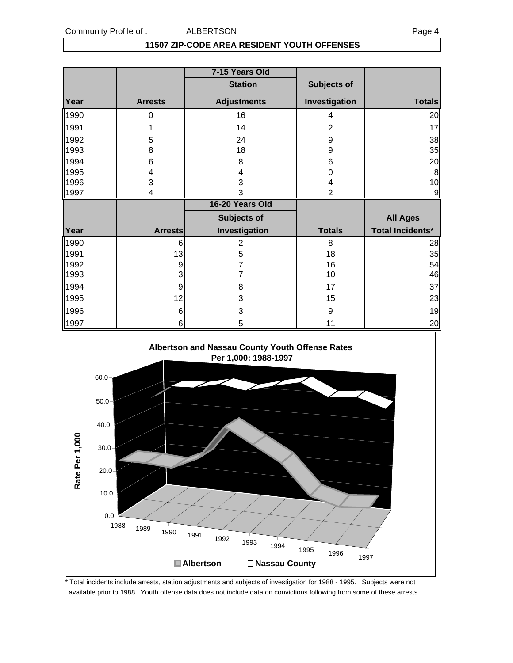### **11507 ZIP-CODE AREA RESIDENT YOUTH OFFENSES**

|      |                | 7-15 Years Old     |                |                         |
|------|----------------|--------------------|----------------|-------------------------|
|      |                | <b>Station</b>     | Subjects of    |                         |
| Year | <b>Arrests</b> | <b>Adjustments</b> | Investigation  | <b>Totals</b>           |
| 1990 | 0              | 16                 | 4              | 20                      |
| 1991 |                | 14                 | 2              | 17                      |
| 1992 | 5              | 24                 | 9              | 38                      |
| 1993 | 8              | 18                 | 9              | 35                      |
| 1994 | 6              | 8                  | 6              | 20                      |
| 1995 | 4              | 4                  | 0              | 8                       |
| 1996 | 3              | 3                  | 4              | 10                      |
| 1997 | 4              | 3                  | $\overline{2}$ |                         |
|      |                |                    |                |                         |
|      |                | 16-20 Years Old    |                |                         |
|      |                | Subjects of        |                | <b>All Ages</b>         |
| Year | <b>Arrests</b> | Investigation      | <b>Totals</b>  | <b>Total Incidents*</b> |
| 1990 | 6              | 2                  | 8              | 28                      |
| 1991 | 13             | 5                  | 18             | 35                      |
| 1992 | 9              | 7                  | 16             | 54                      |
| 1993 | 3              | 7                  | 10             | 46                      |
| 1994 | 9              | 8                  | 17             | 37                      |
| 1995 | 12             | 3                  | 15             | 23                      |
| 1996 | 6              | 3                  | 9              | 19                      |



\* Total incidents include arrests, station adjustments and subjects of investigation for 1988 - 1995. Subjects were not available prior to 1988. Youth offense data does not include data on convictions following from some of these arrests.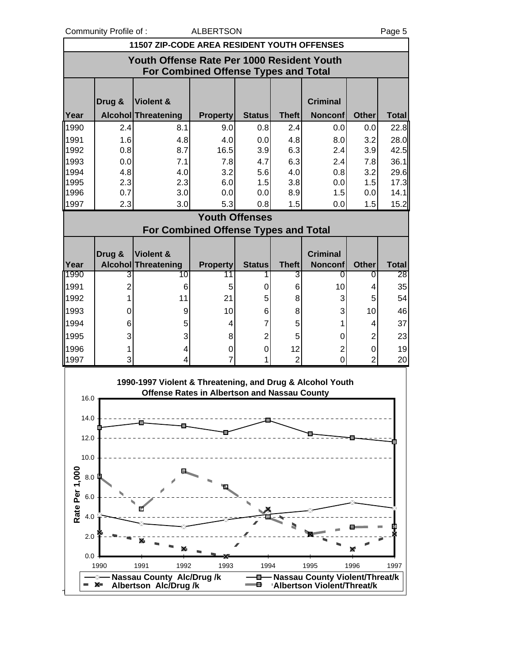rtson

|              | Community Profile of:<br><b>ALBERTSON</b><br>Page 5 |                                                           |                       |                    |                      |                     |                     |                                                              |  |  |  |
|--------------|-----------------------------------------------------|-----------------------------------------------------------|-----------------------|--------------------|----------------------|---------------------|---------------------|--------------------------------------------------------------|--|--|--|
|              |                                                     | 11507 ZIP-CODE AREA RESIDENT YOUTH OFFENSES               |                       |                    |                      |                     |                     |                                                              |  |  |  |
|              | Youth Offense Rate Per 1000 Resident Youth          |                                                           |                       |                    |                      |                     |                     |                                                              |  |  |  |
|              | <b>For Combined Offense Types and Total</b>         |                                                           |                       |                    |                      |                     |                     |                                                              |  |  |  |
|              |                                                     |                                                           |                       |                    |                      |                     |                     |                                                              |  |  |  |
|              | Drug &                                              | Violent &                                                 |                       |                    |                      | <b>Criminal</b>     |                     |                                                              |  |  |  |
| Year         |                                                     | Alcohol Threatening                                       | <b>Property</b>       | <b>Status</b>      | <b>Theft</b>         | <b>Nonconf</b>      | <b>Other</b>        | <b>Total</b>                                                 |  |  |  |
| 1990         | 2.4                                                 | 8.1                                                       | 9.0                   | 0.8                | 2.4                  | 0.0                 | 0.0                 | 22.8                                                         |  |  |  |
| 1991         | 1.6                                                 | 4.8                                                       | 4.0                   | 0.0                | 4.8                  | 8.0                 | 3.2                 | 28.0                                                         |  |  |  |
| 1992         | 0.8                                                 | 8.7                                                       | 16.5                  | 3.9                | 6.3                  | 2.4                 | 3.9                 | 42.5                                                         |  |  |  |
| 1993         | 0.0                                                 | 7.1                                                       | 7.8                   | 4.7                | 6.3                  | 2.4                 | 7.8                 | 36.1                                                         |  |  |  |
| 1994         | 4.8                                                 | 4.0                                                       | 3.2                   | 5.6                | 4.0                  | 0.8                 | 3.2                 | 29.6                                                         |  |  |  |
| 1995<br>1996 | 2.3<br>0.7                                          | 2.3<br>3.0                                                | 6.0<br>0.0            | 1.5<br>0.0         | 3.8<br>8.9           | 0.0<br>1.5          | 1.5<br>0.0          | 17.3<br>14.1                                                 |  |  |  |
| 1997         | 2.3                                                 | 3.0                                                       | 5.3                   | 0.8                | 1.5                  | 0.0                 | 1.5                 | 15.2                                                         |  |  |  |
|              |                                                     |                                                           | <b>Youth Offenses</b> |                    |                      |                     |                     |                                                              |  |  |  |
|              |                                                     | <b>For Combined Offense Types and Total</b>               |                       |                    |                      |                     |                     |                                                              |  |  |  |
|              |                                                     |                                                           |                       |                    |                      |                     |                     |                                                              |  |  |  |
|              |                                                     |                                                           |                       |                    |                      |                     |                     |                                                              |  |  |  |
|              |                                                     |                                                           |                       |                    |                      |                     |                     |                                                              |  |  |  |
|              | Drug &                                              | Violent &                                                 |                       |                    |                      | <b>Criminal</b>     |                     |                                                              |  |  |  |
| Year<br>1990 | 3                                                   | <b>Alcohol Threatening</b><br>10                          | <b>Property</b><br>11 | <b>Status</b><br>1 | <b>Theft</b><br>3    | <b>Nonconf</b><br>0 | <b>Other</b><br>0   |                                                              |  |  |  |
| 1991         | $\overline{2}$                                      | 6                                                         | 5                     | 0                  | 6                    | 10                  | 4                   |                                                              |  |  |  |
| 1992         | $\mathbf{1}$                                        | 11                                                        | 21                    | 5                  | 8                    | 3                   | 5                   |                                                              |  |  |  |
| 1993         | 0                                                   | 9                                                         | 10                    | 6                  | 8                    | 3                   | 10                  |                                                              |  |  |  |
| 1994         | 6                                                   | 5                                                         | 4                     | $\overline{7}$     | 5                    | 1                   | 4                   |                                                              |  |  |  |
| 1995         | 3                                                   | 3                                                         | 8                     | $\overline{2}$     | 5                    | 0                   | $\overline{2}$      |                                                              |  |  |  |
|              |                                                     |                                                           |                       |                    |                      |                     |                     |                                                              |  |  |  |
| 1996<br>1997 | $\mathbf{1}$<br>3                                   | 4<br>4                                                    | 0<br>$\overline{7}$   | 0<br>1             | 12<br>$\overline{2}$ | $\mathbf{2}$<br>0   | 0<br>$\overline{2}$ |                                                              |  |  |  |
|              |                                                     |                                                           |                       |                    |                      |                     |                     |                                                              |  |  |  |
|              |                                                     | 1990-1997 Violent & Threatening, and Drug & Alcohol Youth |                       |                    |                      |                     |                     |                                                              |  |  |  |
| $16.0 -$     |                                                     | <b>Offense Rates in Albertson and Nassau County</b>       |                       |                    |                      |                     |                     |                                                              |  |  |  |
|              |                                                     |                                                           |                       |                    |                      |                     |                     |                                                              |  |  |  |
| 14.0         |                                                     |                                                           |                       |                    |                      |                     |                     |                                                              |  |  |  |
|              |                                                     |                                                           |                       |                    |                      |                     |                     | <b>Total</b><br>28<br>35<br>54<br>46<br>37<br>23<br>19<br>20 |  |  |  |
| 12.0         |                                                     |                                                           |                       |                    |                      |                     |                     |                                                              |  |  |  |
| 10.0         |                                                     |                                                           |                       |                    |                      |                     |                     |                                                              |  |  |  |
| 000<br>8.0   |                                                     |                                                           |                       |                    |                      |                     |                     |                                                              |  |  |  |

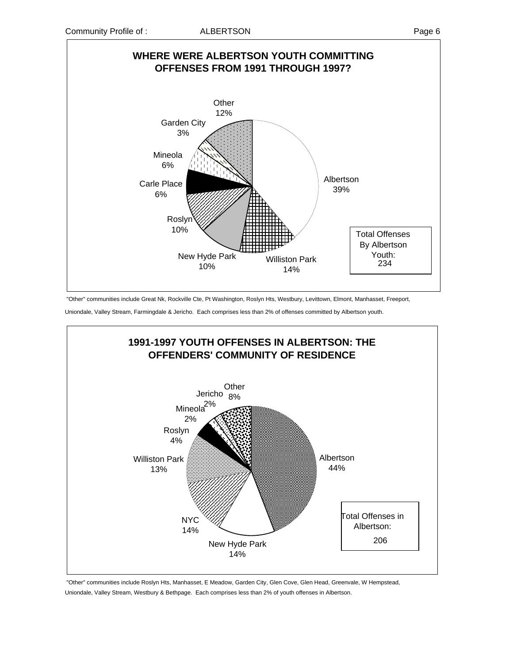

"Other" communities include Great Nk, Rockville Cte, Pt Washington, Roslyn Hts, Westbury, Levittown, Elmont, Manhasset, Freeport,

Uniondale, Valley Stream, Farmingdale & Jericho. Each comprises less than 2% of offenses committed by Albertson youth.



 "Other" communities include Roslyn Hts, Manhasset, E Meadow, Garden City, Glen Cove, Glen Head, Greenvale, W Hempstead, Uniondale, Valley Stream, Westbury & Bethpage. Each comprises less than 2% of youth offenses in Albertson.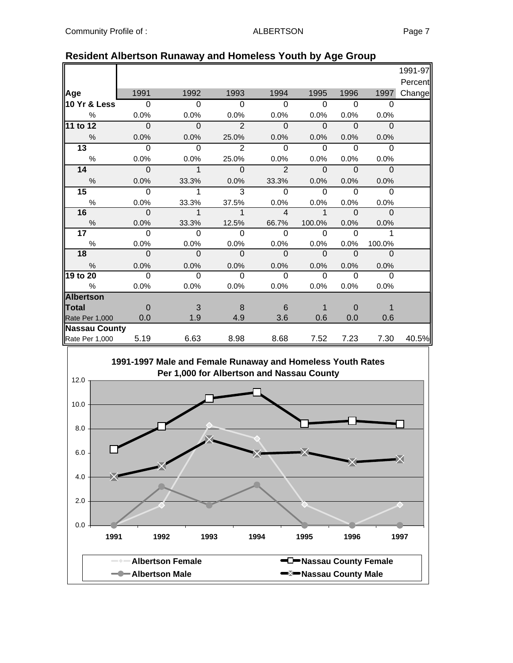|                      |             |          |                |                |             |          |             | 1991-97 |
|----------------------|-------------|----------|----------------|----------------|-------------|----------|-------------|---------|
|                      |             |          |                |                |             |          |             | Percent |
| Age                  | 1991        | 1992     | 1993           | 1994           | 1995        | 1996     | 1997        | Change  |
| 10 Yr & Less         | $\Omega$    | $\Omega$ | 0              | $\Omega$       | $\Omega$    | $\Omega$ | 0           |         |
| %                    | 0.0%        | 0.0%     | 0.0%           | 0.0%           | 0.0%        | 0.0%     | 0.0%        |         |
| 11 to 12             | $\mathbf 0$ | $\Omega$ | $\overline{2}$ | $\Omega$       | $\Omega$    | $\Omega$ | $\Omega$    |         |
| $\frac{0}{0}$        | 0.0%        | 0.0%     | 25.0%          | 0.0%           | 0.0%        | 0.0%     | 0.0%        |         |
| $\overline{13}$      | $\Omega$    | $\Omega$ | $\overline{2}$ | $\Omega$       | $\Omega$    | $\Omega$ | $\Omega$    |         |
| $\%$                 | 0.0%        | 0.0%     | 25.0%          | 0.0%           | 0.0%        | 0.0%     | 0.0%        |         |
| 14                   | $\Omega$    | 1        | $\Omega$       | $\overline{2}$ | $\mathbf 0$ | $\Omega$ | $\mathbf 0$ |         |
| $\%$                 | 0.0%        | 33.3%    | 0.0%           | 33.3%          | 0.0%        | 0.0%     | 0.0%        |         |
| $\overline{15}$      | $\Omega$    | 1        | 3              | $\Omega$       | $\Omega$    | $\Omega$ | $\Omega$    |         |
| $\%$                 | 0.0%        | 33.3%    | 37.5%          | 0.0%           | 0.0%        | 0.0%     | 0.0%        |         |
| 16                   | $\Omega$    | 1        | 1              | $\overline{4}$ | 1           | $\Omega$ | $\Omega$    |         |
| $\%$                 | 0.0%        | 33.3%    | 12.5%          | 66.7%          | 100.0%      | 0.0%     | 0.0%        |         |
| $\overline{17}$      | $\Omega$    | $\Omega$ | $\Omega$       | $\Omega$       | $\Omega$    | $\Omega$ |             |         |
| $\%$                 | 0.0%        | 0.0%     | 0.0%           | 0.0%           | 0.0%        | 0.0%     | 100.0%      |         |
| 18                   | $\mathbf 0$ | $\Omega$ | $\Omega$       | $\Omega$       | $\Omega$    | $\Omega$ | $\Omega$    |         |
| %                    | 0.0%        | 0.0%     | 0.0%           | 0.0%           | 0.0%        | 0.0%     | 0.0%        |         |
| 19 to 20             | $\Omega$    | $\Omega$ | $\Omega$       | $\Omega$       | $\Omega$    | $\Omega$ | 0           |         |
| $\%$                 | 0.0%        | 0.0%     | 0.0%           | 0.0%           | 0.0%        | 0.0%     | 0.0%        |         |
| <b>Albertson</b>     |             |          |                |                |             |          |             |         |
| <b>Total</b>         | 0           | 3        | 8              | 6              | 1           | 0        | 1           |         |
| Rate Per 1,000       | 0.0         | 1.9      | 4.9            | 3.6            | 0.6         | 0.0      | 0.6         |         |
| <b>Nassau County</b> |             |          |                |                |             |          |             |         |
| Rate Per 1,000       | 5.19        | 6.63     | 8.98           | 8.68           | 7.52        | 7.23     | 7.30        | 40.5%   |

### **Resident Albertson Runaway and Homeless Youth by Age Group**

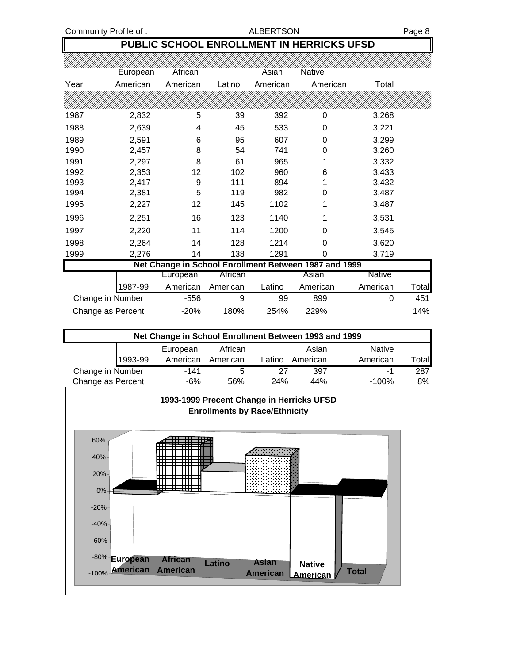Community Profile of : ALBERTSON ALBERTSON

**PUBLIC SCHOOL ENROLLMENT IN HERRICKS UFSD**

|                   | European         | African  |          | Asian    | <b>Native</b>                                         |          |       |
|-------------------|------------------|----------|----------|----------|-------------------------------------------------------|----------|-------|
| Year              | American         | American | Latino   | American | American                                              | Total    |       |
|                   |                  |          |          |          |                                                       |          |       |
| 1987              | 2,832            | 5        | 39       | 392      | 0                                                     | 3,268    |       |
| 1988              | 2,639            | 4        | 45       | 533      | 0                                                     | 3,221    |       |
| 1989              | 2,591            | 6        | 95       | 607      | 0                                                     | 3,299    |       |
| 1990              | 2,457            | 8        | 54       | 741      | 0                                                     | 3,260    |       |
| 1991              | 2,297            | 8        | 61       | 965      |                                                       | 3,332    |       |
| 1992              | 2,353            | 12       | 102      | 960      | 6                                                     | 3,433    |       |
| 1993              | 2,417            | 9        | 111      | 894      |                                                       | 3,432    |       |
| 1994              | 2,381            | 5        | 119      | 982      | 0                                                     | 3,487    |       |
| 1995              | 2,227            | 12       | 145      | 1102     |                                                       | 3,487    |       |
| 1996              | 2,251            | 16       | 123      | 1140     | 1                                                     | 3,531    |       |
| 1997              | 2,220            | 11       | 114      | 1200     | 0                                                     | 3,545    |       |
| 1998              | 2,264            | 14       | 128      | 1214     | 0                                                     | 3,620    |       |
| 1999              | 2,276            | 14       | 138      | 1291     | 0                                                     | 3,719    |       |
|                   |                  |          |          |          | Net Change in School Enrollment Between 1987 and 1999 |          |       |
|                   |                  | European | African  |          | Asian                                                 | Native   |       |
|                   | 1987-99          | American | American | Latino   | American                                              | American | Total |
|                   | Change in Number | $-556$   | 9        | 99       | 899                                                   | 0        | 451   |
| Change as Percent |                  | $-20%$   | 180%     | 254%     | 229%                                                  |          | 14%   |

| Net Change in School Enrollment Between 1993 and 1999 |          |          |        |          |               |              |  |  |
|-------------------------------------------------------|----------|----------|--------|----------|---------------|--------------|--|--|
|                                                       | European | African  |        | Asian    | <b>Native</b> |              |  |  |
| 1993-99                                               | American | American | Latino | American | American      | <b>Total</b> |  |  |
| Change in Number                                      | -141     | 5        | 27     | 397      | -1            | 287          |  |  |
| Change as Percent                                     | -6%      | 56%      | 24%    | 44%      | $-100%$       | 8%           |  |  |
|                                                       |          |          |        |          |               |              |  |  |



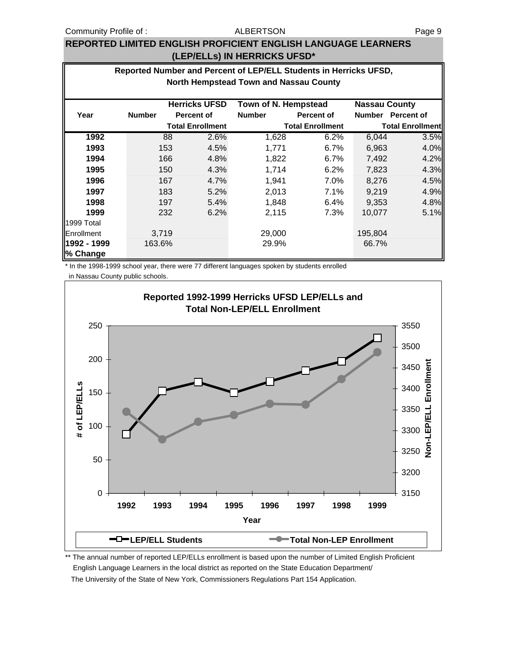### ALBERTSON

### **REPORTED LIMITED ENGLISH PROFICIENT ENGLISH LANGUAGE LEARNERS (LEP/ELLs) IN HERRICKS UFSD\***

### **Reported Number and Percent of LEP/ELL Students in Herricks UFSD, North Hempstead Town and Nassau County**

|                         |               |       | <b>Herricks UFSD</b>    | Town of N. Hempstead |                         | <b>Nassau County</b> |                         |
|-------------------------|---------------|-------|-------------------------|----------------------|-------------------------|----------------------|-------------------------|
| Year                    | <b>Number</b> |       | <b>Percent of</b>       | <b>Number</b>        | Percent of              | <b>Number</b>        | Percent of              |
|                         |               |       | <b>Total Enrollment</b> |                      | <b>Total Enrollment</b> |                      | <b>Total Enrollment</b> |
| 1992                    |               | 88    | 2.6%                    | 1,628                | 6.2%                    | 6,044                | 3.5%                    |
| 1993                    |               | 153   | 4.5%                    | 1,771                | 6.7%                    | 6,963                | 4.0%                    |
| 1994                    |               | 166   | 4.8%                    | 1,822                | 6.7%                    | 7,492                | 4.2%                    |
| 1995                    |               | 150   | 4.3%                    | 1,714                | 6.2%                    | 7,823                | 4.3%                    |
| 1996                    |               | 167   | 4.7%                    | 1,941                | 7.0%                    | 8,276                | 4.5%                    |
| 1997                    |               | 183   | 5.2%                    | 2,013                | 7.1%                    | 9,219                | 4.9%                    |
| 1998                    |               | 197   | 5.4%                    | 1,848                | 6.4%                    | 9,353                | 4.8%                    |
| 1999                    |               | 232   | 6.2%                    | 2,115                | 7.3%                    | 10,077               | 5.1%                    |
| 1999 Total              |               |       |                         |                      |                         |                      |                         |
| Enrollment              |               | 3,719 |                         | 29,000               |                         | 195,804              |                         |
| 1992 - 1999<br>% Change | 163.6%        |       |                         | 29.9%                |                         | 66.7%                |                         |

\* In the 1998-1999 school year, there were 77 different languages spoken by students enrolled

in Nassau County public schools.



\*\* The annual number of reported LEP/ELLs enrollment is based upon the number of Limited English Proficient English Language Learners in the local district as reported on the State Education Department/ The University of the State of New York, Commissioners Regulations Part 154 Application.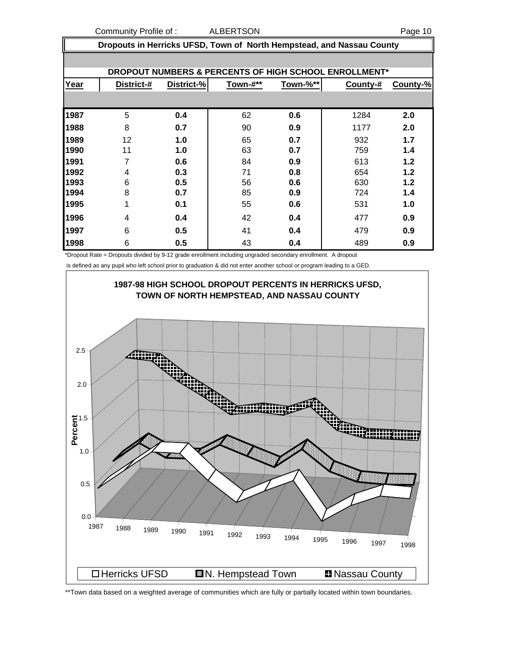Community Profile of : ALBERTSON ARE COMMUNITY Page 10

|  | Dropouts in Herricks UFSD, Town of North Hempstead, and Nassau County |
|--|-----------------------------------------------------------------------|
|  |                                                                       |

|      |            |            |          |          | DROPOUT NUMBERS & PERCENTS OF HIGH SCHOOL ENROLLMENT* |          |
|------|------------|------------|----------|----------|-------------------------------------------------------|----------|
| Year | District-# | District-% | Town-#** | Town-%** | County-#                                              | County-% |
|      |            |            |          |          |                                                       |          |
| 1987 | 5          | 0.4        | 62       | 0.6      | 1284                                                  | 2.0      |
| 1988 | 8          | 0.7        | 90       | 0.9      | 1177                                                  | 2.0      |
| 1989 | 12         | 1.0        | 65       | 0.7      | 932                                                   | 1.7      |
| 1990 | 11         | 1.0        | 63       | 0.7      | 759                                                   | 1.4      |
| 1991 | 7          | 0.6        | 84       | 0.9      | 613                                                   | 1.2      |
| 1992 | 4          | 0.3        | 71       | 0.8      | 654                                                   | 1.2      |
| 1993 | 6          | 0.5        | 56       | 0.6      | 630                                                   | 1.2      |
| 1994 | 8          | 0.7        | 85       | 0.9      | 724                                                   | 1.4      |
| 1995 | 1          | 0.1        | 55       | 0.6      | 531                                                   | 1.0      |
| 1996 | 4          | 0.4        | 42       | 0.4      | 477                                                   | 0.9      |
| 1997 | 6          | 0.5        | 41       | 0.4      | 479                                                   | 0.9      |
| 1998 | 6          | 0.5        | 43       | 0.4      | 489                                                   | 0.9      |

\*Dropout Rate = Dropouts divided by 9-12 grade enrollment including ungraded secondary enrollment. A dropout

is defined as any pupil who left school prior to graduation & did not enter another school or program leading to a GED.



<sup>\*\*</sup>Town data based on a weighted average of communities which are fully or partially located within town boundaries.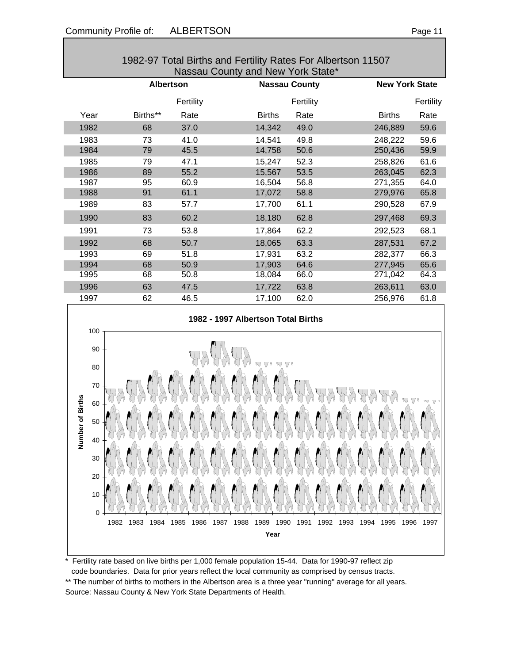|                                                                                         |                      |              | 1982-97 Total Births and Fertility Rates For Albertson 11507<br>Nassau County and New York State* |              |                       |              |
|-----------------------------------------------------------------------------------------|----------------------|--------------|---------------------------------------------------------------------------------------------------|--------------|-----------------------|--------------|
|                                                                                         | <b>Albertson</b>     |              | <b>Nassau County</b>                                                                              |              | <b>New York State</b> |              |
|                                                                                         |                      | Fertility    |                                                                                                   | Fertility    |                       | Fertility    |
| Year                                                                                    | Births**             | Rate         | <b>Births</b>                                                                                     | Rate         | <b>Births</b>         | Rate         |
| 1982                                                                                    | 68                   | 37.0         | 14,342                                                                                            | 49.0         | 246,889               | 59.6         |
| 1983                                                                                    | 73                   | 41.0         | 14,541                                                                                            | 49.8         | 248,222               | 59.6         |
| 1984                                                                                    | 79                   | 45.5         | 14,758                                                                                            | 50.6         | 250,436               | 59.9         |
| 1985                                                                                    | 79                   | 47.1         | 15,247                                                                                            | 52.3         | 258,826               | 61.6         |
| 1986                                                                                    | 89                   | 55.2         | 15,567                                                                                            | 53.5         | 263,045               | 62.3         |
| 1987                                                                                    | 95                   | 60.9         | 16,504                                                                                            | 56.8         | 271,355               | 64.0         |
| 1988                                                                                    | 91                   | 61.1         | 17,072                                                                                            | 58.8         | 279,976               | 65.8         |
| 1989                                                                                    | 83                   | 57.7         | 17,700                                                                                            | 61.1         | 290,528               | 67.9         |
| 1990                                                                                    | 83                   | 60.2         | 18,180                                                                                            | 62.8         | 297,468               | 69.3         |
| 1991                                                                                    | 73                   | 53.8         | 17,864                                                                                            | 62.2         | 292,523               | 68.1         |
| 1992                                                                                    | 68                   | 50.7         | 18,065                                                                                            | 63.3         | 287,531               | 67.2         |
| 1993                                                                                    | 69                   | 51.8         | 17,931                                                                                            | 63.2         | 282,377               | 66.3         |
| 1994                                                                                    | 68                   | 50.9         | 17,903                                                                                            | 64.6         | 277,945               | 65.6         |
| 1995                                                                                    | 68                   | 50.8         | 18,084                                                                                            | 66.0         | 271,042               | 64.3         |
| 1996                                                                                    | 63                   | 47.5         | 17,722                                                                                            | 63.8         | 263,611               | 63.0         |
| 1997                                                                                    | 62                   | 46.5         | 17,100                                                                                            | 62.0         | 256,976               | 61.8         |
| 100<br>90<br>80<br>70<br>ber of Births<br>60<br>50<br>Numl<br>40<br>30<br>20<br>10<br>0 | 1982<br>1983<br>1984 | 1985<br>1986 | 1982 - 1997 Albertson Total Births<br>W VV<br>1987<br>1988<br>1989<br>1990<br>Year                | 1991<br>1992 | 1995<br>1993<br>1994  | 1996<br>1997 |
|                                                                                         |                      |              |                                                                                                   |              |                       |              |

1982-97 Total Births and Fertility Rates For Albertson 11507

\* Fertility rate based on live births per 1,000 female population 15-44. Data for 1990-97 reflect zip code boundaries. Data for prior years reflect the local community as comprised by census tracts. \*\* The number of births to mothers in the Albertson area is a three year "running" average for all years. Source: Nassau County & New York State Departments of Health.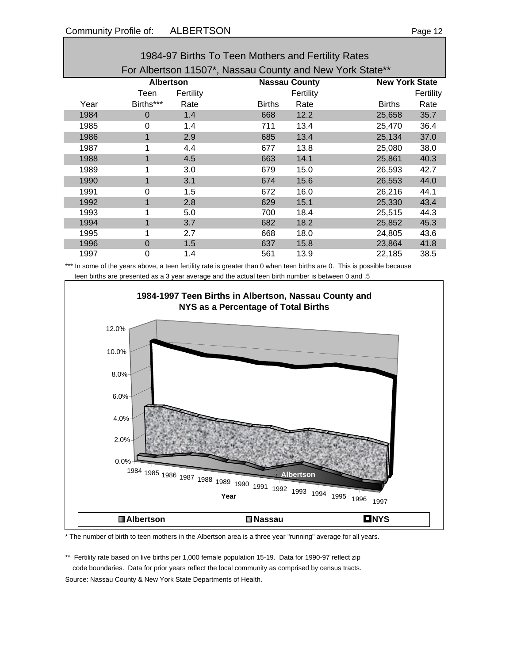| 1984-97 Births To Teen Mothers and Fertility Rates       |                  |           |                      |           |               |                       |  |  |
|----------------------------------------------------------|------------------|-----------|----------------------|-----------|---------------|-----------------------|--|--|
| For Albertson 11507*, Nassau County and New York State** |                  |           |                      |           |               |                       |  |  |
|                                                          | <b>Albertson</b> |           | <b>Nassau County</b> |           |               | <b>New York State</b> |  |  |
|                                                          | Teen             | Fertility |                      | Fertility |               | Fertility             |  |  |
| Year                                                     | Births***        | Rate      | <b>Births</b>        | Rate      | <b>Births</b> | Rate                  |  |  |
| 1984                                                     | $\Omega$         | 1.4       | 668                  | 12.2      | 25,658        | 35.7                  |  |  |
| 1985                                                     | $\Omega$         | 1.4       | 711                  | 13.4      | 25,470        | 36.4                  |  |  |
| 1986                                                     | $\mathbf 1$      | 2.9       | 685                  | 13.4      | 25,134        | 37.0                  |  |  |
| 1987                                                     | 1                | 4.4       | 677                  | 13.8      | 25,080        | 38.0                  |  |  |
| 1988                                                     | 1                | 4.5       | 663                  | 14.1      | 25,861        | 40.3                  |  |  |
| 1989                                                     | 1                | 3.0       | 679                  | 15.0      | 26,593        | 42.7                  |  |  |
| 1990                                                     | $\mathbf{1}$     | 3.1       | 674                  | 15.6      | 26,553        | 44.0                  |  |  |
| 1991                                                     | $\Omega$         | 1.5       | 672                  | 16.0      | 26,216        | 44.1                  |  |  |
| 1992                                                     | 1                | 2.8       | 629                  | 15.1      | 25,330        | 43.4                  |  |  |
| 1993                                                     | 1                | 5.0       | 700                  | 18.4      | 25,515        | 44.3                  |  |  |
| 1994                                                     |                  | 3.7       | 682                  | 18.2      | 25,852        | 45.3                  |  |  |
| 1995                                                     | 1                | 2.7       | 668                  | 18.0      | 24,805        | 43.6                  |  |  |
| 1996                                                     | 0                | 1.5       | 637                  | 15.8      | 23,864        | 41.8                  |  |  |
| 1997                                                     | 0                | 1.4       | 561                  | 13.9      | 22,185        | 38.5                  |  |  |

\*\*\* In some of the years above, a teen fertility rate is greater than 0 when teen births are 0. This is possible because teen births are presented as a 3 year average and the actual teen birth number is between 0 and .5



\* The number of birth to teen mothers in the Albertson area is a three year "running" average for all years.

\*\* Fertility rate based on live births per 1,000 female population 15-19. Data for 1990-97 reflect zip code boundaries. Data for prior years reflect the local community as comprised by census tracts. Source: Nassau County & New York State Departments of Health.